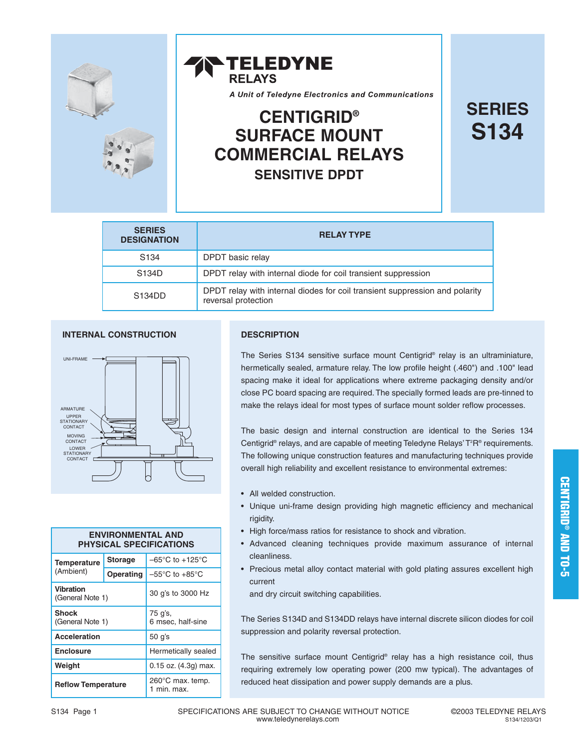



# **S134 CENTIGRID® SURFACE MOUNT COMMERCIAL RELAYS SENSITIVE DPDT**

| <b>SERIES</b> |
|---------------|
| <b>S134</b>   |

| <b>SERIES</b><br><b>DESIGNATION</b> | <b>RELAY TYPE</b>                                                                                  |
|-------------------------------------|----------------------------------------------------------------------------------------------------|
| S <sub>134</sub>                    | DPDT basic relay                                                                                   |
| S134D                               | DPDT relay with internal diode for coil transient suppression                                      |
| S <sub>134</sub> D <sub>D</sub>     | DPDT relay with internal diodes for coil transient suppression and polarity<br>reversal protection |

#### **INTERNAL CONSTRUCTION**



| <b>ENVIRONMENTAL AND</b><br><b>PHYSICAL SPECIFICATIONS</b> |                |                                      |  |
|------------------------------------------------------------|----------------|--------------------------------------|--|
| <b>Temperature</b><br>(Ambient)                            | <b>Storage</b> | $-65^{\circ}$ C to +125 $^{\circ}$ C |  |
|                                                            | Operating      | $-55^{\circ}$ C to $+85^{\circ}$ C   |  |
| <b>Vibration</b><br>(General Note 1)                       |                | 30 g's to 3000 Hz                    |  |
| <b>Shock</b><br>(General Note 1)                           |                | 75 g's,<br>6 msec, half-sine         |  |
| <b>Acceleration</b>                                        |                | 50 q's                               |  |
| <b>Enclosure</b>                                           |                | Hermetically sealed                  |  |
| Weight                                                     |                | $0.15$ oz. $(4.3g)$ max.             |  |
| <b>Reflow Temperature</b>                                  |                | 260°C max. temp.<br>1 min. max.      |  |

#### **DESCRIPTION**

The Series S134 sensitive surface mount Centigrid® relay is an ultraminiature, hermetically sealed, armature relay. The low profile height (.460") and .100" lead spacing make it ideal for applications where extreme packaging density and/or close PC board spacing are required. The specially formed leads are pre-tinned to make the relays ideal for most types of surface mount solder reflow processes.

The basic design and internal construction are identical to the Series 134 Centigrid® relays, and are capable of meeting Teledyne Relays' T<sup>2</sup>R® requirements. The following unique construction features and manufacturing techniques provide overall high reliability and excellent resistance to environmental extremes:

- All welded construction.
- Unique uni-frame design providing high magnetic efficiency and mechanical rigidity.
- High force/mass ratios for resistance to shock and vibration.
- Advanced cleaning techniques provide maximum assurance of internal cleanliness.
- Precious metal alloy contact material with gold plating assures excellent high current

and dry circuit switching capabilities.

The Series S134D and S134DD relays have internal discrete silicon diodes for coil suppression and polarity reversal protection.

The sensitive surface mount Centigrid® relay has a high resistance coil, thus requiring extremely low operating power (200 mw typical). The advantages of reduced heat dissipation and power supply demands are a plus.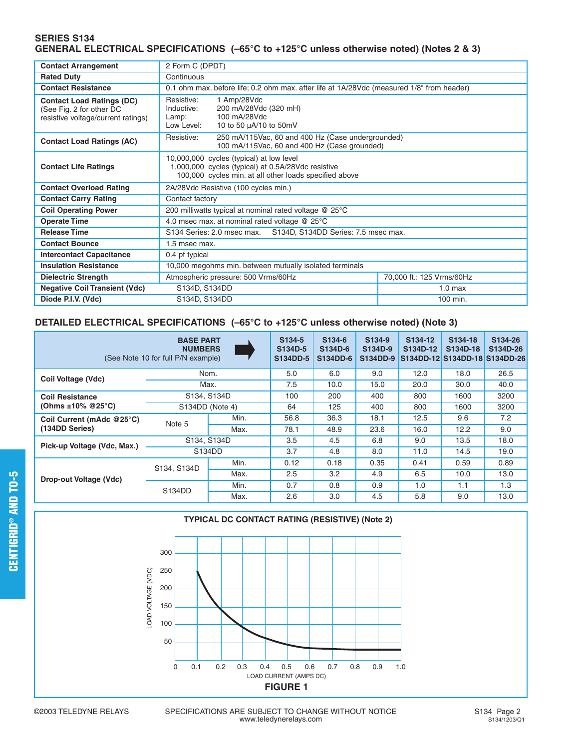#### **SERIES S134 GENERAL ELECTRICAL SPECIFICATIONS (–65°C to +125°C unless otherwise noted) (Notes 2 & 3)**

| <b>Contact Arrangement</b>                                                                         | 2 Form C (DPDT)                                                                                                                                          |                                                                                                   |                    |  |  |
|----------------------------------------------------------------------------------------------------|----------------------------------------------------------------------------------------------------------------------------------------------------------|---------------------------------------------------------------------------------------------------|--------------------|--|--|
| <b>Rated Duty</b>                                                                                  | Continuous                                                                                                                                               |                                                                                                   |                    |  |  |
| <b>Contact Resistance</b>                                                                          |                                                                                                                                                          | 0.1 ohm max. before life; 0.2 ohm max. after life at 1A/28Vdc (measured 1/8" from header)         |                    |  |  |
| <b>Contact Load Ratings (DC)</b><br>(See Fig. 2 for other DC<br>resistive voltage/current ratings) | Resistive:<br>Inductive:<br>Lamp:<br>Low Level:                                                                                                          | 1 Amp/28Vdc<br>200 mA/28Vdc (320 mH)<br>100 mA/28Vdc<br>10 to 50 µA/10 to 50mV                    |                    |  |  |
| <b>Contact Load Ratings (AC)</b>                                                                   | Resistive:                                                                                                                                               | 250 mA/115Vac, 60 and 400 Hz (Case undergrounded)<br>100 mA/115Vac, 60 and 400 Hz (Case grounded) |                    |  |  |
| <b>Contact Life Ratings</b>                                                                        | 10,000,000 cycles (typical) at low level<br>1,000,000 cycles (typical) at 0.5A/28Vdc resistive<br>100,000 cycles min. at all other loads specified above |                                                                                                   |                    |  |  |
| <b>Contact Overload Rating</b>                                                                     | 2A/28Vdc Resistive (100 cycles min.)                                                                                                                     |                                                                                                   |                    |  |  |
| <b>Contact Carry Rating</b>                                                                        | Contact factory                                                                                                                                          |                                                                                                   |                    |  |  |
| <b>Coil Operating Power</b>                                                                        | 200 milliwatts typical at nominal rated voltage $@$ 25 $°C$                                                                                              |                                                                                                   |                    |  |  |
| <b>Operate Time</b>                                                                                | 4.0 msec max. at nominal rated voltage @ 25°C                                                                                                            |                                                                                                   |                    |  |  |
| <b>Release Time</b>                                                                                | S134 Series: 2.0 msec max.<br>S134D, S134DD Series: 7.5 msec max.                                                                                        |                                                                                                   |                    |  |  |
| <b>Contact Bounce</b>                                                                              | 1.5 msec max.                                                                                                                                            |                                                                                                   |                    |  |  |
| <b>Intercontact Capacitance</b>                                                                    | 0.4 pf typical                                                                                                                                           |                                                                                                   |                    |  |  |
| <b>Insulation Resistance</b>                                                                       | 10,000 megohms min. between mutually isolated terminals                                                                                                  |                                                                                                   |                    |  |  |
| <b>Dielectric Strength</b>                                                                         | Atmospheric pressure: 500 Vrms/60Hz<br>70,000 ft.: 125 Vrms/60Hz                                                                                         |                                                                                                   |                    |  |  |
| <b>Negative Coil Transient (Vdc)</b><br>S134D, S134DD                                              |                                                                                                                                                          |                                                                                                   | 1.0 <sub>max</sub> |  |  |
| Diode P.I.V. (Vdc)                                                                                 | S134D, S134DD                                                                                                                                            |                                                                                                   | 100 min.           |  |  |

#### **DETAILED ELECTRICAL SPECIFICATIONS (–65°C to +125°C unless otherwise noted) (Note 3)**

| <b>BASE PART</b><br><b>NUMBERS</b><br>(See Note 10 for full P/N example) |                     | S134-5<br>S134D-5<br><b>S134DD-5</b> | S134-6<br>S <sub>134</sub> D-6<br>S134DD-6 | S134-9<br>S134D-9<br>S134DD-9 | S134-12<br>S134D-12<br>S134DD-12 S134DD-18 S134DD-26 | S134-18<br>S134D-18 | S134-26<br>S134D-26 |      |
|--------------------------------------------------------------------------|---------------------|--------------------------------------|--------------------------------------------|-------------------------------|------------------------------------------------------|---------------------|---------------------|------|
| Coil Voltage (Vdc)                                                       | Nom.                |                                      | 5.0                                        | 6.0                           | 9.0                                                  | 12.0                | 18.0                | 26.5 |
|                                                                          | Max.                |                                      | 7.5                                        | 10.0                          | 15.0                                                 | 20.0                | 30.0                | 40.0 |
| <b>Coil Resistance</b>                                                   | S134, S134D         |                                      | 100                                        | 200                           | 400                                                  | 800                 | 1600                | 3200 |
| (Ohms $\pm 10\%$ @25°C)                                                  | S134DD (Note 4)     |                                      | 64                                         | 125                           | 400                                                  | 800                 | 1600                | 3200 |
| Coil Current (mAdc @25°C)<br>(134DD Series)                              | Note 5              | Min.                                 | 56.8                                       | 36.3                          | 18.1                                                 | 12.5                | 9.6                 | 7.2  |
|                                                                          |                     | Max.                                 | 78.1                                       | 48.9                          | 23.6                                                 | 16.0                | 12.2                | 9.0  |
| Pick-up Voltage (Vdc, Max.)                                              | S134, S134D         |                                      | 3.5                                        | 4.5                           | 6.8                                                  | 9.0                 | 13.5                | 18.0 |
|                                                                          | S134DD              |                                      | 3.7                                        | 4.8                           | 8.0                                                  | 11.0                | 14.5                | 19.0 |
| Drop-out Voltage (Vdc)                                                   | S134, S134D         | Min.                                 | 0.12                                       | 0.18                          | 0.35                                                 | 0.41                | 0.59                | 0.89 |
|                                                                          |                     | Max.                                 | $2.5\,$                                    | 3.2                           | 4.9                                                  | 6.5                 | 10.0                | 13.0 |
|                                                                          | S <sub>134</sub> DD | Min.                                 | 0.7                                        | 0.8                           | 0.9                                                  | 1.0                 | 1.1                 | 1.3  |
|                                                                          |                     | Max.                                 | 2.6                                        | 3.0                           | 4.5                                                  | 5.8                 | 9.0                 | 13.0 |

#### **TYPICAL DC CONTACT RATING (RESISTIVE) (Note 2)**

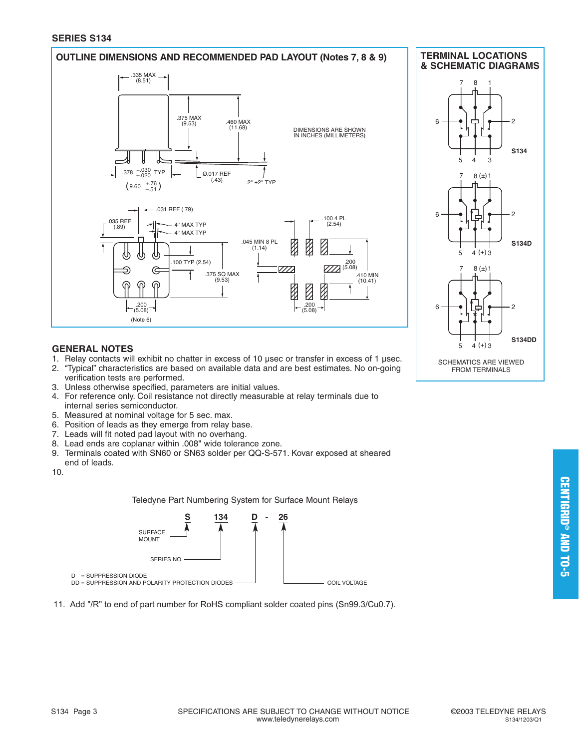#### **SERIES S134**

#### **OUTLINE DIMENSIONS AND RECOMMENDED PAD LAYOUT (Notes 7, 8 & 9)**



#### **TERMINAL LOCATIONS & SCHEMATIC DIAGRAMS**



#### **GENERAL NOTES**

- 1. Relay contacts will exhibit no chatter in excess of 10 μsec or transfer in excess of 1 μsec.<br>2. "Typical" characteristics are based on available data and are best estimates. No on-going
- 2. "Typical" characteristics are based on available data and are best estimates. No on-going verification tests are performed.
- 3. Unless otherwise specified, parameters are initial values.
- 4. For reference only. Coil resistance not directly measurable at relay terminals due to internal series semiconductor.
- 5. Measured at nominal voltage for 5 sec. max.
- 6. Position of leads as they emerge from relay base.
- 7. Leads will fit noted pad layout with no overhang.
- 8. Lead ends are coplanar within .008" wide tolerance zone.
- 9. Terminals coated with SN60 or SN63 solder per QQ-S-571. Kovar exposed at sheared end of leads.
- 10.

Teledyne Part Numbering System for Surface Mount Relays



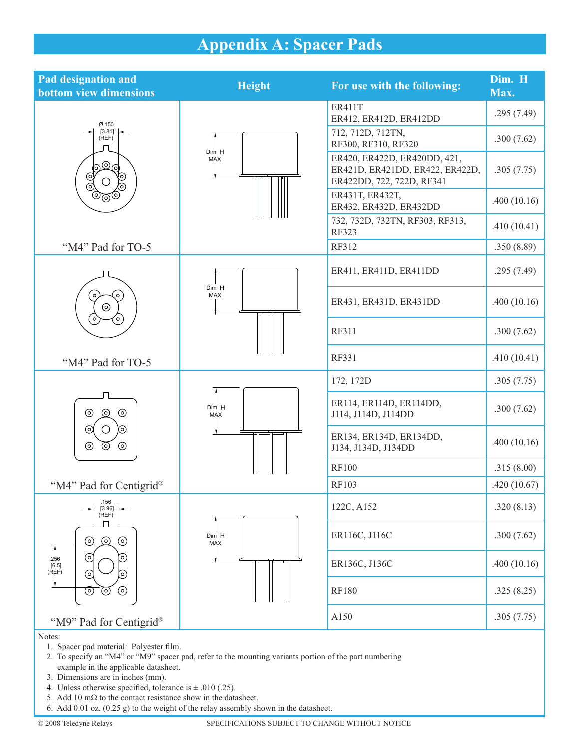## **Appendix A: Spacer Pads**

| <b>Pad designation and</b><br><b>bottom view dimensions</b>                                                                            | <b>Height</b> | For use with the following:                                                                  | Dim. H<br>Max. |
|----------------------------------------------------------------------------------------------------------------------------------------|---------------|----------------------------------------------------------------------------------------------|----------------|
|                                                                                                                                        |               | <b>ER411T</b><br>ER412, ER412D, ER412DD                                                      | .295(7.49)     |
| Ø.150<br>[3.81]<br>(REF)<br>620<br>Q<br>$\rm \odot$<br>Ī<br>ര                                                                          |               | 712, 712D, 712TN,<br>RF300, RF310, RF320                                                     | .300(7.62)     |
|                                                                                                                                        | Dim H<br>MAX  | ER420, ER422D, ER420DD, 421,<br>ER421D, ER421DD, ER422, ER422D,<br>ER422DD, 722, 722D, RF341 | .305(7.75)     |
| මලම                                                                                                                                    |               | ER431T, ER432T,<br>ER432, ER432D, ER432DD                                                    | .400(10.16)    |
|                                                                                                                                        |               | 732, 732D, 732TN, RF303, RF313,<br><b>RF323</b>                                              | .410(10.41)    |
| "M4" Pad for TO-5                                                                                                                      |               | RF312                                                                                        | .350(8.89)     |
|                                                                                                                                        |               | ER411, ER411D, ER411DD                                                                       | .295(7.49)     |
| $\circ$<br>$\circ$<br>$\odot$<br>$\circ$<br>°                                                                                          | Dim H<br>MAX  | ER431, ER431D, ER431DD                                                                       | .400(10.16)    |
|                                                                                                                                        |               | RF311                                                                                        | .300(7.62)     |
| "M4" Pad for TO-5                                                                                                                      |               | <b>RF331</b>                                                                                 | .410(10.41)    |
|                                                                                                                                        |               | 172, 172D                                                                                    | .305(7.75)     |
| $\odot$<br>$\circledcirc$<br>$\odot$<br>(o)<br>(၀)<br>O<br>$\odot$<br>$\circledcirc$<br>⊚                                              | Dim H<br>MAX  | ER114, ER114D, ER114DD,<br>J114, J114D, J114DD                                               | .300(7.62)     |
|                                                                                                                                        |               | ER134, ER134D, ER134DD,<br>J134, J134D, J134DD                                               | .400(10.16)    |
|                                                                                                                                        |               | <b>RF100</b>                                                                                 | .315(8.00)     |
| "M4" Pad for Centigrid <sup>®</sup>                                                                                                    |               | RF103                                                                                        | .420(10.67)    |
| .156<br>[3.96]<br>(REF)<br>Л<br>$\odot$<br>⊚<br>$\odot$<br>ପ<br>0)<br>.256<br>[6.5]<br>(REF)<br>ര<br>[၀)<br>$\odot$<br>$_{\odot}$<br>⊚ | Dim H<br>MAX  | 122C, A152                                                                                   | .320(8.13)     |
|                                                                                                                                        |               | ER116C, J116C                                                                                | .300(7.62)     |
|                                                                                                                                        |               | ER136C, J136C                                                                                | .400(10.16)    |
|                                                                                                                                        |               | <b>RF180</b>                                                                                 | .325(8.25)     |
| "M9" Pad for Centigrid®                                                                                                                |               | A150                                                                                         | .305(7.75)     |
| Notes:                                                                                                                                 |               |                                                                                              |                |

1. Spacer pad material: Polyester film.

- 2. To specify an "M4" or "M9" spacer pad, refer to the mounting variants portion of the part numbering example in the applicable datasheet.
- 3. Dimensions are in inches (mm).
- 4. Unless otherwise specified, tolerance is  $\pm$  .010 (.25).
	- 5. Add 10 m $\Omega$  to the contact resistance show in the datasheet.
	- 6. Add 0.01 oz. (0.25 g) to the weight of the relay assembly shown in the datasheet.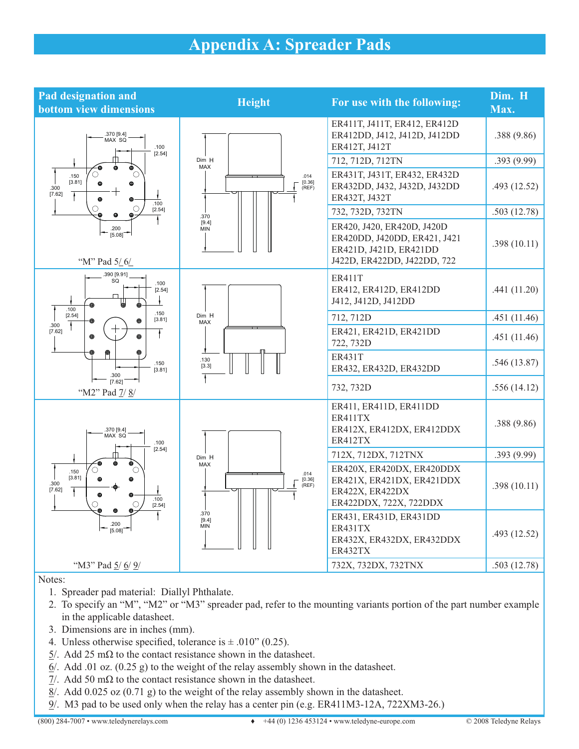### **Appendix A: Spreader Pads**

| <b>Pad designation and</b><br><b>bottom view dimensions</b>                                                                                                                                                                                 | <b>Height</b>                                                            | For use with the following:                                                                                         | Dim. H<br>Max. |
|---------------------------------------------------------------------------------------------------------------------------------------------------------------------------------------------------------------------------------------------|--------------------------------------------------------------------------|---------------------------------------------------------------------------------------------------------------------|----------------|
| .370 [9.4]<br>MAX SQ<br>.100<br>[2.54]<br>٠<br>⊕<br>$\bullet$<br>$\bigcirc$<br>∩<br>.150<br>[3.81]<br>$\bullet$<br>$\bullet$<br>.300<br>[7.62]<br>↴<br>$\bullet$<br>$\bullet$<br>.100                                                       |                                                                          | ER411T, J411T, ER412, ER412D<br>ER412DD, J412, J412D, J412DD<br>ER412T, J412T                                       | .388(9.86)     |
|                                                                                                                                                                                                                                             | Dim H<br>MAX                                                             | 712, 712D, 712TN                                                                                                    | .393 (9.99)    |
|                                                                                                                                                                                                                                             | .014<br>[0.36]<br>(REF)                                                  | ER431T, J431T, ER432, ER432D<br>ER432DD, J432, J432D, J432DD<br>ER432T, J432T                                       | .493(12.52)    |
| $\bigcirc$<br>[2.54]<br>٠<br>$\bullet$<br>$\bullet$                                                                                                                                                                                         | .370                                                                     | 732, 732D, 732TN                                                                                                    | .503(12.78)    |
| .200<br>[5.08]<br>"M" Pad 5/6/                                                                                                                                                                                                              | [9.4]<br><b>MIN</b>                                                      | ER420, J420, ER420D, J420D<br>ER420DD, J420DD, ER421, J421<br>ER421D, J421D, ER421DD<br>J422D, ER422DD, J422DD, 722 | .398(10.11)    |
| 390 [9.91]<br>SQ<br>.100<br>[2.54]<br>Ť.<br>$\bullet$<br>.100                                                                                                                                                                               | Dim H<br><b>MAX</b><br>.130<br>[3.3]                                     | <b>ER411T</b><br>ER412, ER412D, ER412DD<br>J412, J412D, J412DD                                                      | .441(11.20)    |
| .150<br>[2.54]<br>[3.81]<br>◉<br>⊕                                                                                                                                                                                                          |                                                                          | 712, 712D                                                                                                           | .451(11.46)    |
| .300<br>[7.62]<br>Ŧ<br>◉<br>◉<br>.150<br>[3.81]<br>.300                                                                                                                                                                                     |                                                                          | ER421, ER421D, ER421DD<br>722, 732D                                                                                 | .451(11.46)    |
|                                                                                                                                                                                                                                             |                                                                          | <b>ER431T</b><br>ER432, ER432D, ER432DD                                                                             | .546(13.87)    |
| [7.62]<br>"M2" Pad 7/8/                                                                                                                                                                                                                     |                                                                          | 732, 732D                                                                                                           | .556(14.12)    |
| .370 [9.4]<br>MAX SQ<br>.100<br>[2.54]<br>⊕<br>$\mathbf \Theta$<br>$\circ$<br>∩<br>.150<br>[3.81]<br>$\bullet$<br>$\bf \Theta$<br>.300<br>[7.62]<br>7<br>⊕<br>⊕<br>.100<br>$\bigcirc$<br>[2.54]<br>$\bullet$<br>$\bullet$<br>.200<br>[5.08] | Dim H<br><b>MAX</b><br>.014<br>$[0.36]$<br>(REF)<br>.370<br>[9.4]<br>MIN | ER411, ER411D, ER411DD<br>ER411TX<br>ER412X, ER412DX, ER412DDX<br>ER412TX                                           | .388(9.86)     |
|                                                                                                                                                                                                                                             |                                                                          | 712X, 712DX, 712TNX                                                                                                 | .393(9.99)     |
|                                                                                                                                                                                                                                             |                                                                          | ER420X, ER420DX, ER420DDX<br>ER421X, ER421DX, ER421DDX<br>ER422X, ER422DX<br>ER422DDX, 722X, 722DDX                 | .398(10.11)    |
|                                                                                                                                                                                                                                             |                                                                          | ER431, ER431D, ER431DD<br>ER431TX<br>ER432X, ER432DX, ER432DDX<br>ER432TX                                           | .493(12.52)    |
| "M3" Pad 5/6/9/                                                                                                                                                                                                                             |                                                                          | 732X, 732DX, 732TNX                                                                                                 | .503(12.78)    |

Notes:

- 1. Spreader pad material: Diallyl Phthalate.
- 2. To specify an "M", "M2" or "M3" spreader pad, refer to the mounting variants portion of the part number example in the applicable datasheet.
- 3. Dimensions are in inches (mm).
- 4. Unless otherwise specified, tolerance is  $\pm$  .010" (0.25).
	- $5/$ . Add 25 m $\Omega$  to the contact resistance shown in the datasheet.
	- $6/$ . Add .01 oz. (0.25 g) to the weight of the relay assembly shown in the datasheet.
	- $1/2$ . Add 50 m $\Omega$  to the contact resistance shown in the datasheet.
	- $8/$ . Add 0.025 oz (0.71 g) to the weight of the relay assembly shown in the datasheet.
	- 9/. M3 pad to be used only when the relay has a center pin (e.g. ER411M3-12A, 722XM3-26.)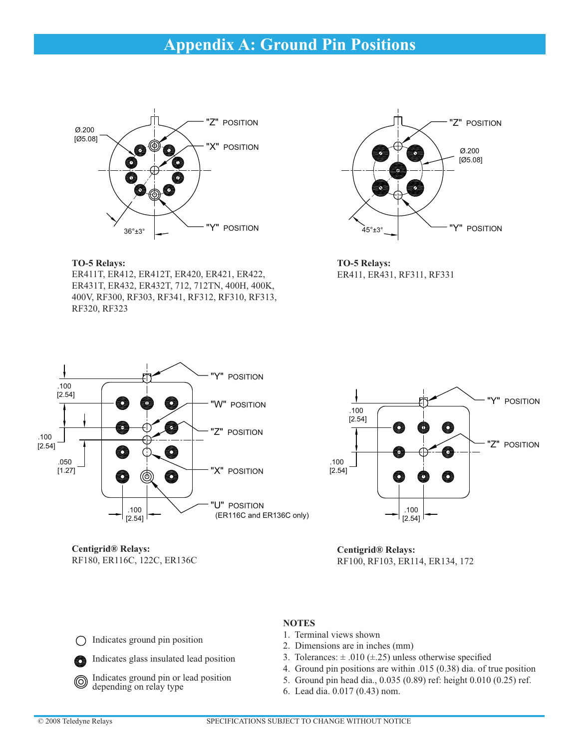### **Appendix A: Ground Pin Positions**



**TO-5 Relays:**

ER411T, ER412, ER412T, ER420, ER421, ER422, ER431T, ER432, ER432T, 712, 712TN, 400H, 400K, 400V, RF300, RF303, RF341, RF312, RF310, RF313, RF320, RF323



**TO-5 Relays:** ER411, ER431, RF311, RF331



**Centigrid® Relays:** RF180, ER116C, 122C, ER136C



**Centigrid® Relays:** RF100, RF103, ER114, ER134, 172

Indicates ground pin position ◯

Indicates glass insulated lead position



#### **NOTES**

- 1. Terminal views shown
- 2. Dimensions are in inches (mm)
- 3. Tolerances:  $\pm .010$  ( $\pm .25$ ) unless otherwise specified
- 4. Ground pin positions are within .015 (0.38) dia. of true position
- 5. Ground pin head dia., 0.035 (0.89) ref: height 0.010 (0.25) ref.
- 6. Lead dia. 0.017 (0.43) nom.